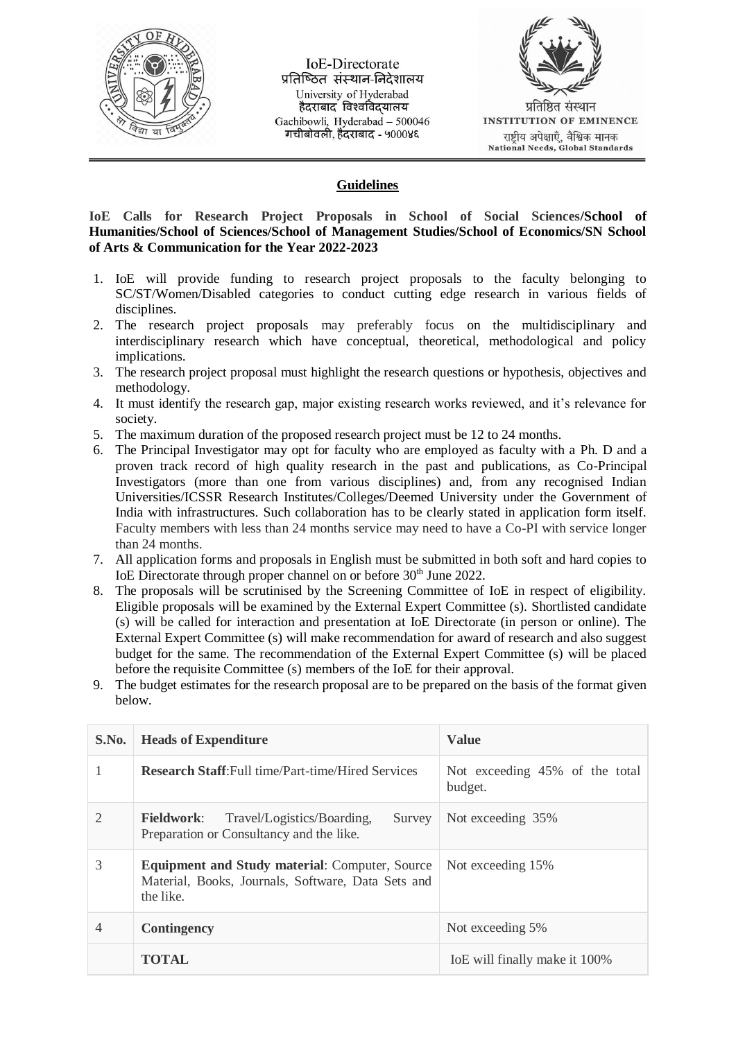

**IoE-Directorate** प्रतिष्ठित संस्थान-निदेशालय University of Hyderabad हैदराबाद विश्वविदयालय Gachibowli, Hyderabad - 500046 गचीबोवली, हैंदराबाद - ५०००४६



# **Guidelines**

**IoE Calls for Research Project Proposals in School of Social Sciences/School of Humanities/School of Sciences/School of Management Studies/School of Economics/SN School of Arts & Communication for the Year 2022-2023**

- 1. IoE will provide funding to research project proposals to the faculty belonging to SC/ST/Women/Disabled categories to conduct cutting edge research in various fields of disciplines.
- 2. The research project proposals may preferably focus on the multidisciplinary and interdisciplinary research which have conceptual, theoretical, methodological and policy implications.
- 3. The research project proposal must highlight the research questions or hypothesis, objectives and methodology.
- 4. It must identify the research gap, major existing research works reviewed, and it's relevance for society.
- 5. The maximum duration of the proposed research project must be 12 to 24 months.
- 6. The Principal Investigator may opt for faculty who are employed as faculty with a Ph. D and a proven track record of high quality research in the past and publications, as Co-Principal Investigators (more than one from various disciplines) and, from any recognised Indian Universities/ICSSR Research Institutes/Colleges/Deemed University under the Government of India with infrastructures. Such collaboration has to be clearly stated in application form itself. Faculty members with less than 24 months service may need to have a Co-PI with service longer than 24 months.
- 7. All application forms and proposals in English must be submitted in both soft and hard copies to IoE Directorate through proper channel on or before 30<sup>th</sup> June 2022.
- 8. The proposals will be scrutinised by the Screening Committee of IoE in respect of eligibility. Eligible proposals will be examined by the External Expert Committee (s). Shortlisted candidate (s) will be called for interaction and presentation at IoE Directorate (in person or online). The External Expert Committee (s) will make recommendation for award of research and also suggest budget for the same. The recommendation of the External Expert Committee (s) will be placed before the requisite Committee (s) members of the IoE for their approval.
- 9. The budget estimates for the research proposal are to be prepared on the basis of the format given below.

| S.No. | <b>Heads of Expenditure</b>                                                                                              | <b>Value</b>                              |  |  |
|-------|--------------------------------------------------------------------------------------------------------------------------|-------------------------------------------|--|--|
|       | <b>Research Staff:</b> Full time/Part-time/Hired Services                                                                | Not exceeding 45% of the total<br>budget. |  |  |
| 2     | Travel/Logistics/Boarding,<br><b>Fieldwork:</b><br>Survey<br>Preparation or Consultancy and the like.                    | Not exceeding 35%                         |  |  |
| 3     | <b>Equipment and Study material: Computer, Source</b><br>Material, Books, Journals, Software, Data Sets and<br>the like. | Not exceeding 15%                         |  |  |
| 4     | <b>Contingency</b>                                                                                                       | Not exceeding 5%                          |  |  |
|       | <b>TOTAL</b>                                                                                                             | IoE will finally make it 100%             |  |  |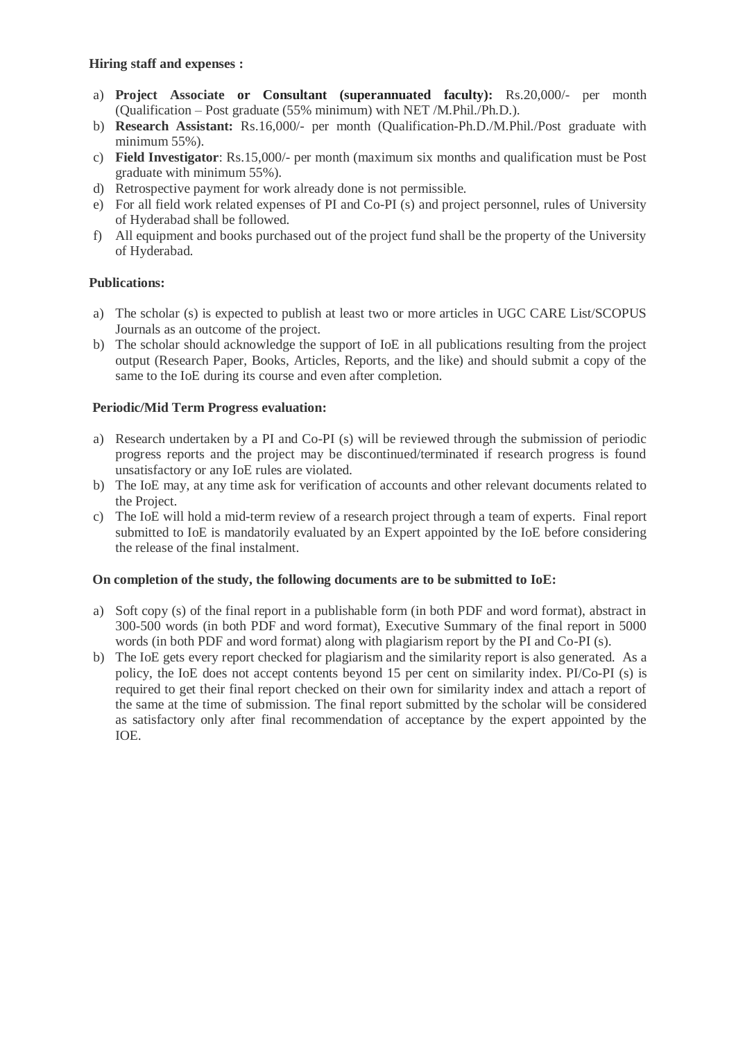### **Hiring staff and expenses :**

- a) **Project Associate or Consultant (superannuated faculty):** Rs.20,000/- per month (Qualification – Post graduate (55% minimum) with NET /M.Phil./Ph.D.).
- b) **Research Assistant:** Rs.16,000/- per month (Qualification-Ph.D./M.Phil./Post graduate with minimum 55%).
- c) **Field Investigator**: Rs.15,000/- per month (maximum six months and qualification must be Post graduate with minimum 55%).
- d) Retrospective payment for work already done is not permissible.
- e) For all field work related expenses of PI and Co-PI (s) and project personnel, rules of University of Hyderabad shall be followed.
- f) All equipment and books purchased out of the project fund shall be the property of the University of Hyderabad.

# **Publications:**

- a) The scholar (s) is expected to publish at least two or more articles in UGC CARE List/SCOPUS Journals as an outcome of the project.
- b) The scholar should acknowledge the support of IoE in all publications resulting from the project output (Research Paper, Books, Articles, Reports, and the like) and should submit a copy of the same to the IoE during its course and even after completion.

### **Periodic/Mid Term Progress evaluation:**

- a) Research undertaken by a PI and Co-PI (s) will be reviewed through the submission of periodic progress reports and the project may be discontinued/terminated if research progress is found unsatisfactory or any IoE rules are violated.
- b) The IoE may, at any time ask for verification of accounts and other relevant documents related to the Project.
- c) The IoE will hold a mid-term review of a research project through a team of experts. Final report submitted to IoE is mandatorily evaluated by an Expert appointed by the IoE before considering the release of the final instalment.

#### **On completion of the study, the following documents are to be submitted to IoE:**

- a) Soft copy (s) of the final report in a publishable form (in both PDF and word format), abstract in 300-500 words (in both PDF and word format), Executive Summary of the final report in 5000 words (in both PDF and word format) along with plagiarism report by the PI and Co-PI (s).
- b) The IoE gets every report checked for plagiarism and the similarity report is also generated. As a policy, the IoE does not accept contents beyond 15 per cent on similarity index. PI/Co-PI (s) is required to get their final report checked on their own for similarity index and attach a report of the same at the time of submission. The final report submitted by the scholar will be considered as satisfactory only after final recommendation of acceptance by the expert appointed by the IOE.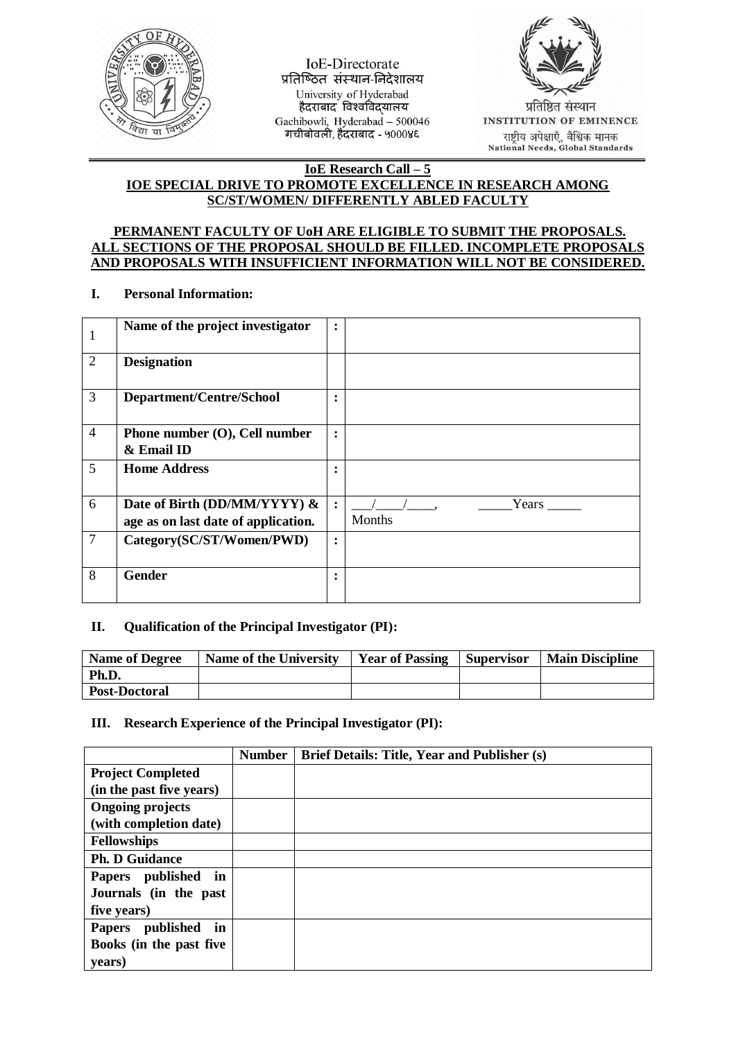

**IoE-Directorate** प्रतिष्ठित संस्थान-निदेशालय University of Hyderabad Gachibowli, Hyderabad - 500046 गचीबोवली, हैंदराबाद - ५०००४६



प्रतिष्ठित संस्थान **INSTITUTION OF EMINENCE** राष्ट्रीय अपेक्षाएँ, वैश्विक मानक<br>National Needs, Global Standards

#### **IoE Research Call – 5 IOE SPECIAL DRIVE TO PROMOTE EXCELLENCE IN RESEARCH AMONG SC/ST/WOMEN/ DIFFERENTLY ABLED FACULTY**

### **PERMANENT FACULTY OF UoH ARE ELIGIBLE TO SUBMIT THE PROPOSALS. ALL SECTIONS OF THE PROPOSAL SHOULD BE FILLED. INCOMPLETE PROPOSALS AND PROPOSALS WITH INSUFFICIENT INFORMATION WILL NOT BE CONSIDERED.**

### **I. Personal Information:**

| 1              | Name of the project investigator    | $\ddot{\cdot}$       |        |
|----------------|-------------------------------------|----------------------|--------|
| $\overline{2}$ | <b>Designation</b>                  |                      |        |
| 3              | Department/Centre/School            | $\ddot{\phantom{a}}$ |        |
| $\overline{4}$ | Phone number $(O)$ , Cell number    | $\ddot{\cdot}$       |        |
|                | & Email ID                          |                      |        |
| 5              | <b>Home Address</b>                 | ٠                    |        |
| 6              | Date of Birth (DD/MM/YYYY) &        | $\ddot{\cdot}$       |        |
|                | age as on last date of application. |                      | Months |
| $\overline{7}$ | Category(SC/ST/Women/PWD)           | $\ddot{\cdot}$       |        |
| 8              | Gender                              | ٠                    |        |

# **II. Qualification of the Principal Investigator (PI):**

| <b>Name of Degree</b> | Name of the University | <b>Year of Passing</b> | Supervisor | <b>Main Discipline</b> |
|-----------------------|------------------------|------------------------|------------|------------------------|
| Ph.D.                 |                        |                        |            |                        |
| <b>Post-Doctoral</b>  |                        |                        |            |                        |

# **III. Research Experience of the Principal Investigator (PI):**

|                                  | <b>Number</b> | <b>Brief Details: Title, Year and Publisher (s)</b> |
|----------------------------------|---------------|-----------------------------------------------------|
| <b>Project Completed</b>         |               |                                                     |
| (in the past five years)         |               |                                                     |
| <b>Ongoing projects</b>          |               |                                                     |
| (with completion date)           |               |                                                     |
| <b>Fellowships</b>               |               |                                                     |
| <b>Ph. D Guidance</b>            |               |                                                     |
| Papers published<br>in           |               |                                                     |
| Journals (in the past            |               |                                                     |
| five years)                      |               |                                                     |
| published<br>in<br><b>Papers</b> |               |                                                     |
| Books (in the past five          |               |                                                     |
| vears)                           |               |                                                     |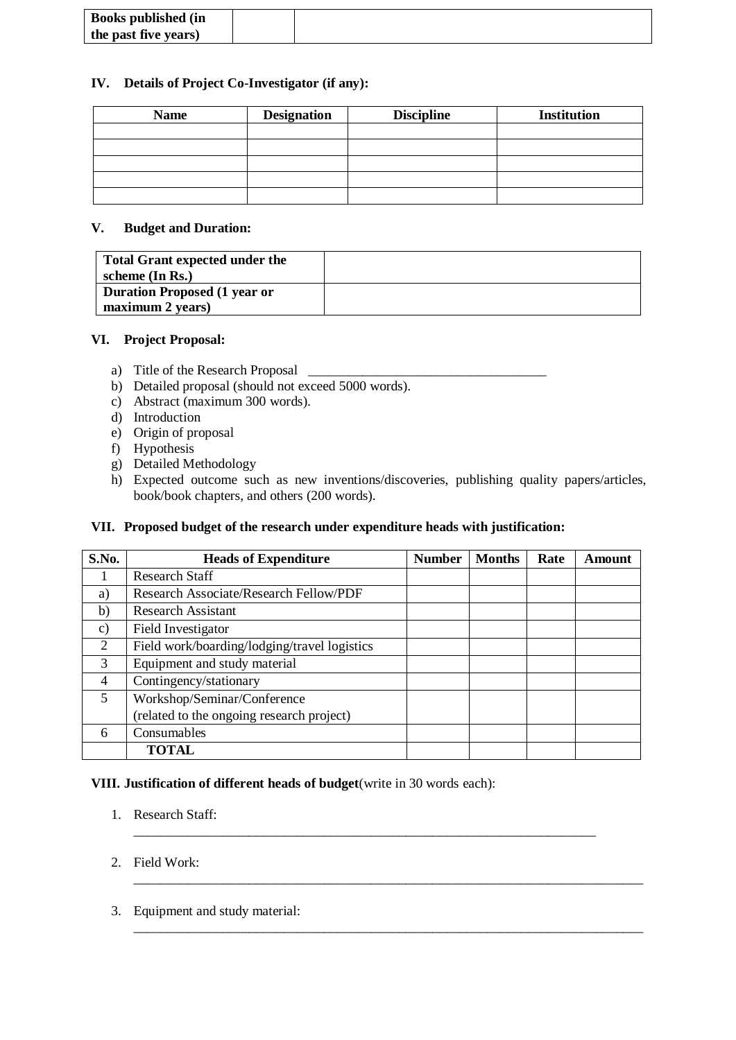| <b>Books published (in</b> |  |
|----------------------------|--|
| the past five years)       |  |
|                            |  |

### **IV. Details of Project Co-Investigator (if any):**

| <b>Name</b> | <b>Designation</b> | <b>Discipline</b> | <b>Institution</b> |  |  |
|-------------|--------------------|-------------------|--------------------|--|--|
|             |                    |                   |                    |  |  |
|             |                    |                   |                    |  |  |
|             |                    |                   |                    |  |  |
|             |                    |                   |                    |  |  |
|             |                    |                   |                    |  |  |

### **V. Budget and Duration:**

| <b>Total Grant expected under the</b><br>scheme (In Rs.) |  |
|----------------------------------------------------------|--|
| <b>Duration Proposed (1 year or</b><br>maximum 2 years)  |  |

### **VI. Project Proposal:**

- a) Title of the Research Proposal
- b) Detailed proposal (should not exceed 5000 words).
- c) Abstract (maximum 300 words).
- d) Introduction
- e) Origin of proposal
- f) Hypothesis
- g) Detailed Methodology
- h) Expected outcome such as new inventions/discoveries, publishing quality papers/articles, book/book chapters, and others (200 words).

# **VII. Proposed budget of the research under expenditure heads with justification:**

| S.No.           | <b>Heads of Expenditure</b>                   | <b>Number</b> | <b>Months</b> | Rate | <b>Amount</b> |
|-----------------|-----------------------------------------------|---------------|---------------|------|---------------|
|                 | <b>Research Staff</b>                         |               |               |      |               |
| a)              | <b>Research Associate/Research Fellow/PDF</b> |               |               |      |               |
| b)              | <b>Research Assistant</b>                     |               |               |      |               |
| $\mathcal{C}$ ) | Field Investigator                            |               |               |      |               |
| $\overline{2}$  | Field work/boarding/lodging/travel logistics  |               |               |      |               |
| 3               | Equipment and study material                  |               |               |      |               |
| $\overline{4}$  | Contingency/stationary                        |               |               |      |               |
| $\mathfrak{S}$  | Workshop/Seminar/Conference                   |               |               |      |               |
|                 | (related to the ongoing research project)     |               |               |      |               |
| 6               | Consumables                                   |               |               |      |               |
|                 | <b>TOTAL</b>                                  |               |               |      |               |

\_\_\_\_\_\_\_\_\_\_\_\_\_\_\_\_\_\_\_\_\_\_\_\_\_\_\_\_\_\_\_\_\_\_\_\_\_\_\_\_\_\_\_\_\_\_\_\_\_\_\_\_\_\_\_\_\_\_\_\_\_\_\_\_\_\_\_\_

\_\_\_\_\_\_\_\_\_\_\_\_\_\_\_\_\_\_\_\_\_\_\_\_\_\_\_\_\_\_\_\_\_\_\_\_\_\_\_\_\_\_\_\_\_\_\_\_\_\_\_\_\_\_\_\_\_\_\_\_\_\_\_\_\_\_\_\_\_\_\_\_\_\_\_

\_\_\_\_\_\_\_\_\_\_\_\_\_\_\_\_\_\_\_\_\_\_\_\_\_\_\_\_\_\_\_\_\_\_\_\_\_\_\_\_\_\_\_\_\_\_\_\_\_\_\_\_\_\_\_\_\_\_\_\_\_\_\_\_\_\_\_\_\_\_\_\_\_\_\_

# **VIII. Justification of different heads of budget**(write in 30 words each):

- 1. Research Staff:
- 2. Field Work:
- 3. Equipment and study material: